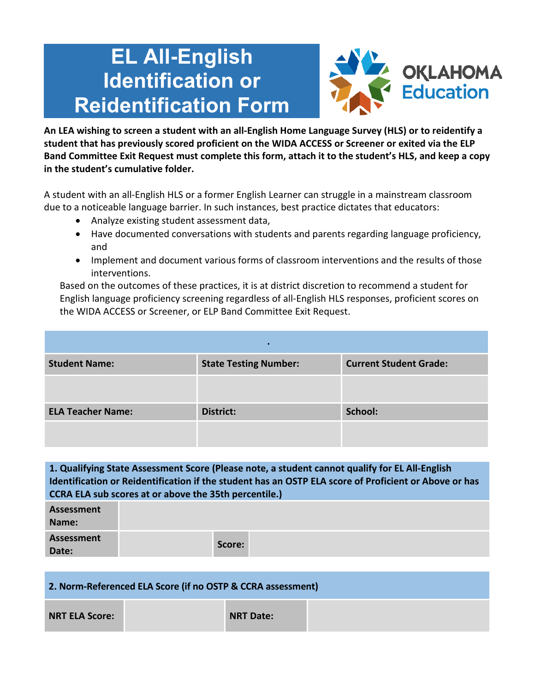## **EL All-English Identification or Reidentification Form**



**An LEA wishing to screen a student with an all-English Home Language Survey (HLS) or to reidentify a student that has previously scored proficient on the WIDA ACCESS or Screener or exited via the ELP Band Committee Exit Request must complete this form, attach it to the student's HLS, and keep a copy in the student's cumulative folder.**

A student with an all-English HLS or a former English Learner can struggle in a mainstream classroom due to a noticeable language barrier. In such instances, best practice dictates that educators:

- Analyze existing student assessment data,
- Have documented conversations with students and parents regarding language proficiency, and
- Implement and document various forms of classroom interventions and the results of those interventions.

Based on the outcomes of these practices, it is at district discretion to recommend a student for English language proficiency screening regardless of all-English HLS responses, proficient scores on the WIDA ACCESS or Screener, or ELP Band Committee Exit Request.

| <b>Student Name:</b>     | <b>State Testing Number:</b> | <b>Current Student Grade:</b> |
|--------------------------|------------------------------|-------------------------------|
|                          |                              |                               |
| <b>ELA Teacher Name:</b> | <b>District:</b>             | School:                       |
|                          |                              |                               |

**1. Qualifying State Assessment Score (Please note, a student cannot qualify for EL All-English Identification or Reidentification if the student has an OSTP ELA score of Proficient or Above or has CCRA ELA sub scores at or above the 35th percentile.)**

| Assessment<br>Name: |        |  |
|---------------------|--------|--|
| Assessment<br>Date: | Score: |  |

## **2. Norm-Referenced ELA Score (if no OSTP & CCRA assessment)**

**NRT ELA Score: NRT Date:**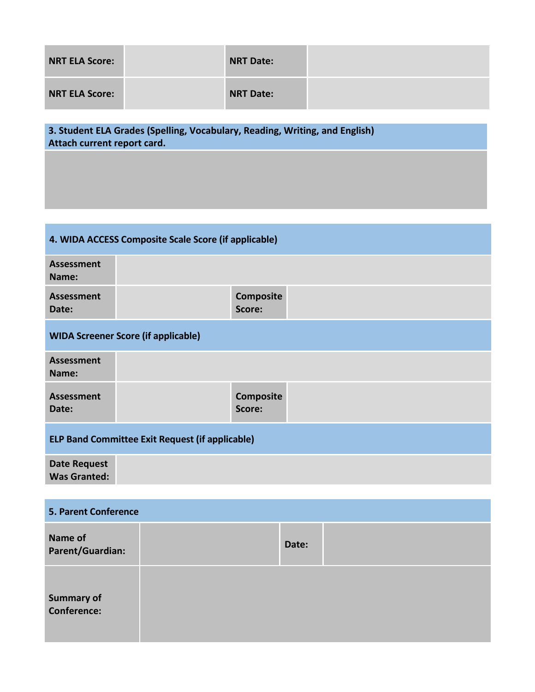| <b>NRT ELA Score:</b> | <b>NRT Date:</b> |  |
|-----------------------|------------------|--|
| <b>NRT ELA Score:</b> | <b>NRT Date:</b> |  |

**3. Student ELA Grades (Spelling, Vocabulary, Reading, Writing, and English) Attach current report card.**

| 4. WIDA ACCESS Composite Scale Score (if applicable)   |  |                            |  |
|--------------------------------------------------------|--|----------------------------|--|
| <b>Assessment</b><br>Name:                             |  |                            |  |
| <b>Assessment</b><br>Date:                             |  | Composite<br>Score:        |  |
| <b>WIDA Screener Score (if applicable)</b>             |  |                            |  |
| <b>Assessment</b><br>Name:                             |  |                            |  |
| <b>Assessment</b><br>Date:                             |  | <b>Composite</b><br>Score: |  |
| <b>ELP Band Committee Exit Request (if applicable)</b> |  |                            |  |
| <b>Date Request</b><br><b>Was Granted:</b>             |  |                            |  |

| <b>5. Parent Conference</b>             |  |       |  |
|-----------------------------------------|--|-------|--|
| Name of<br>Parent/Guardian:             |  | Date: |  |
| <b>Summary of</b><br><b>Conference:</b> |  |       |  |